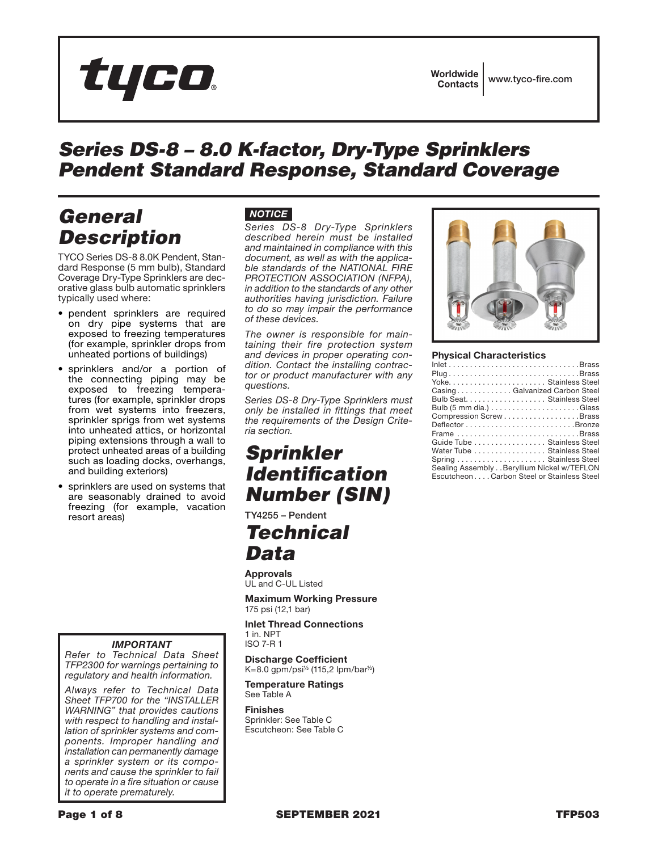

## *Series DS-8 – 8.0 K-factor, Dry-Type Sprinklers Pendent Standard Response, Standard Coverage*

## *General Description*

TYCO Series DS-8 8.0K Pendent, Standard Response (5 mm bulb), Standard Coverage Dry-Type Sprinklers are decorative glass bulb automatic sprinklers typically used where:

- pendent sprinklers are required on dry pipe systems that are exposed to freezing temperatures (for example, sprinkler drops from unheated portions of buildings)
- sprinklers and/or a portion of the connecting piping may be exposed to freezing temperatures (for example, sprinkler drops from wet systems into freezers, sprinkler sprigs from wet systems into unheated attics, or horizontal piping extensions through a wall to protect unheated areas of a building such as loading docks, overhangs, and building exteriors)
- sprinklers are used on systems that are seasonably drained to avoid freezing (for example, vacation resort areas)

#### *IMPORTANT*

*Refer to Technical Data Sheet TFP2300 for warnings pertaining to regulatory and health information.*

*Always refer to Technical Data Sheet TFP700 for the "INSTALLER WARNING" that provides cautions with respect to handling and installation of sprinkler systems and components. Improper handling and installation can permanently damage a sprinkler system or its components and cause the sprinkler to fail to operate in a fire situation or cause it to operate prematurely.*

### *NOTICE*

*Series DS-8 Dry-Type Sprinklers described herein must be installed and maintained in compliance with this document, as well as with the applicable standards of the NATIONAL FIRE PROTECTION ASSOCIATION (NFPA), in addition to the standards of any other authorities having jurisdiction. Failure to do so may impair the performance of these devices.*

*The owner is responsible for maintaining their fire protection system and devices in proper operating condition. Contact the installing contractor or product manufacturer with any questions.*

*Series DS-8 Dry-Type Sprinklers must only be installed in fittings that meet the requirements of the Design Criteria section.*

## *Sprinkler Identification Number (SIN)*

TY4255 – Pendent

## *Technical Data*

Approvals UL and C-UL Listed

Maximum Working Pressure 175 psi (12,1 bar)

Inlet Thread Connections 1 in. NPT ISO 7-R 1

Discharge Coefficient

K=8.0 gpm/psi½ (115,2 lpm/bar½)

Temperature Ratings See Table A

Finishes Sprinkler: See Table C Escutcheon: See Table C



#### Physical Characteristics

| PlugBrass                                  |
|--------------------------------------------|
| Yoke Stainless Steel                       |
| CasingGalvanized Carbon Steel              |
| Bulb Seat. Stainless Steel                 |
|                                            |
| Compression ScrewBrass                     |
|                                            |
| Frame Brass                                |
| Guide Tube Stainless Steel                 |
| Water Tube Stainless Steel                 |
|                                            |
| Sealing Assembly Beryllium Nickel w/TEFLON |
| EscutcheonCarbon Steel or Stainless Steel  |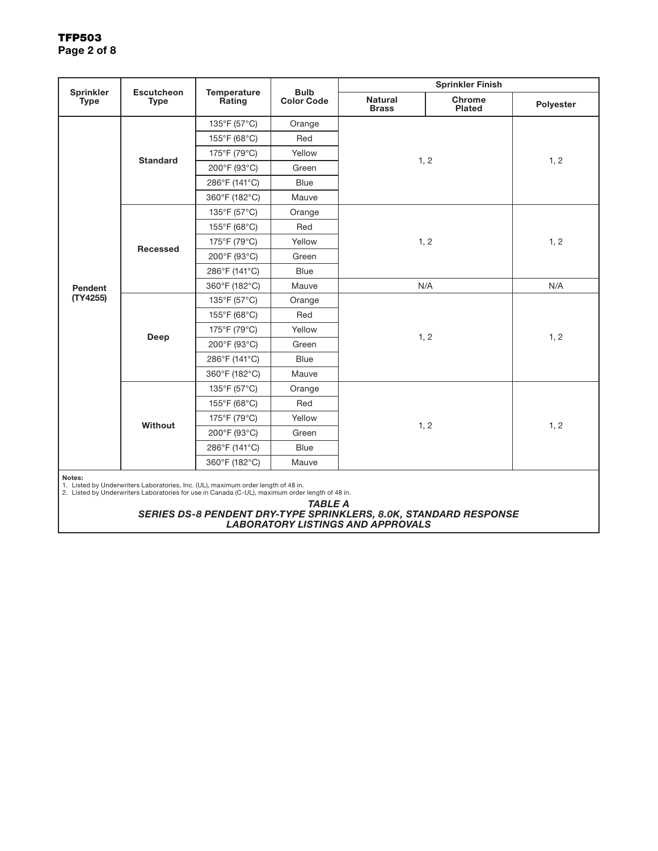### TFP503 Page 2 of 8

| <b>Sprinkler</b> | <b>Escutcheon</b><br><b>Type</b> | <b>Temperature</b><br>Rating | <b>Bulb</b><br><b>Color Code</b> | <b>Sprinkler Finish</b>        |                  |           |
|------------------|----------------------------------|------------------------------|----------------------------------|--------------------------------|------------------|-----------|
| <b>Type</b>      |                                  |                              |                                  | <b>Natural</b><br><b>Brass</b> | Chrome<br>Plated | Polyester |
|                  |                                  | 135°F (57°C)                 | Orange                           | 1, 2                           |                  |           |
|                  | <b>Standard</b>                  | 155°F (68°C)                 | Red                              |                                |                  | 1, 2      |
|                  |                                  | 175°F (79°C)                 | Yellow                           |                                |                  |           |
|                  |                                  | 200°F (93°C)                 | Green                            |                                |                  |           |
|                  |                                  | 286°F (141°C)                | <b>Blue</b>                      |                                |                  |           |
|                  |                                  | 360°F (182°C)                | Mauve                            |                                |                  |           |
|                  |                                  | 135°F (57°C)                 | Orange                           |                                |                  |           |
|                  |                                  | 155°F (68°C)                 | Red                              |                                |                  |           |
|                  | Recessed                         | 175°F (79°C)                 | Yellow                           | 1, 2                           |                  | 1, 2      |
|                  |                                  | 200°F (93°C)                 | Green                            |                                |                  |           |
|                  |                                  | 286°F (141°C)                | <b>Blue</b>                      |                                |                  |           |
| Pendent          |                                  | 360°F (182°C)                | Mauve                            | N/A                            |                  | N/A       |
| (TY4255)         | Deep                             | 135°F (57°C)                 | Orange                           |                                | 1, 2             |           |
|                  |                                  | 155°F (68°C)                 | Red                              |                                |                  |           |
|                  |                                  | 175°F (79°C)                 | Yellow                           | 1, 2                           |                  |           |
|                  |                                  | 200°F (93°C)                 | Green                            |                                |                  |           |
|                  |                                  | 286°F (141°C)                | Blue                             |                                |                  |           |
|                  |                                  | 360°F (182°C)                | Mauve                            |                                |                  |           |
|                  |                                  | 135°F (57°C)                 | Orange                           |                                |                  |           |
|                  |                                  | 155°F (68°C)                 | Red                              |                                |                  |           |
|                  | Without                          | 175°F (79°C)                 | Yellow                           | 1, 2                           | 1, 2             |           |
|                  |                                  | 200°F (93°C)                 | Green                            |                                |                  |           |
|                  |                                  | 286°F (141°C)                | <b>Blue</b>                      |                                |                  |           |
|                  |                                  | 360°F (182°C)                | Mauve                            |                                |                  |           |
| Notes:           |                                  |                              |                                  |                                |                  |           |

Notes: 1. Listed by Underwriters Laboratories, Inc. (UL), maximum order length of 48 in. 2. Listed by Underwriters Laboratories for use in Canada (C-UL), maximum order length of 48 in.

*TABLE A SERIES DS-8 PENDENT DRY-TYPE SPRINKLERS, 8.0K, STANDARD RESPONSE LABORATORY LISTINGS AND APPROVALS*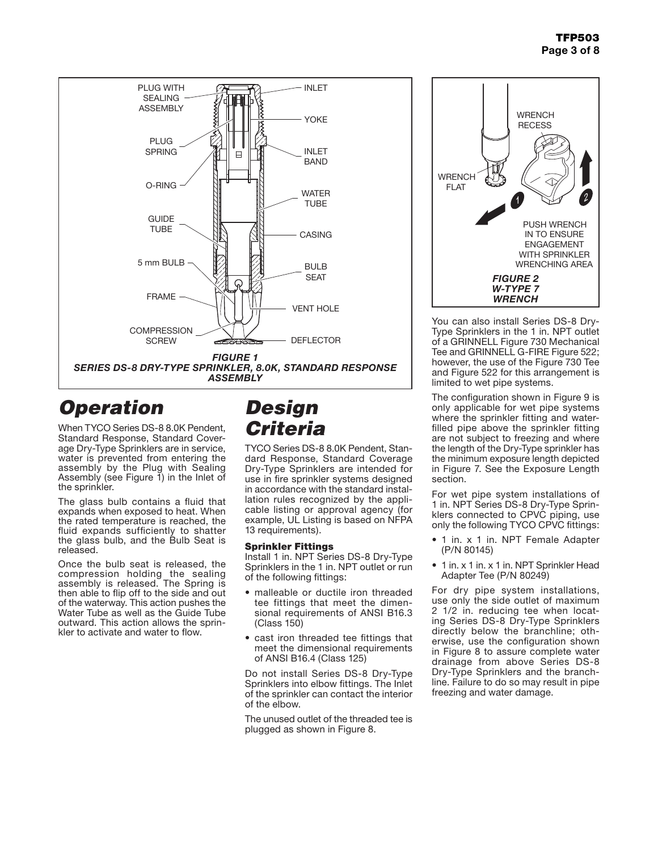

# *Operation*

When TYCO Series DS-8 8.0K Pendent, Standard Response, Standard Coverage Dry-Type Sprinklers are in service, water is prevented from entering the assembly by the Plug with Sealing Assembly (see Figure 1) in the Inlet of the sprinkler.

The glass bulb contains a fluid that expands when exposed to heat. When the rated temperature is reached, the fluid expands sufficiently to shatter the glass bulb, and the Bulb Seat is released.

Once the bulb seat is released, the compression holding the sealing assembly is released. The Spring is then able to flip off to the side and out of the waterway. This action pushes the Water Tube as well as the Guide Tube outward. This action allows the sprin- kler to activate and water to flow.

## *Design Criteria*

TYCO Series DS-8 8.0K Pendent, Standard Response, Standard Coverage Dry-Type Sprinklers are intended for use in fire sprinkler systems designed in accordance with the standard installation rules recognized by the applicable listing or approval agency (for example, UL Listing is based on NFPA 13 requirements).

### Sprinkler Fittings

Install 1 in. NPT Series DS-8 Dry-Type Sprinklers in the 1 in. NPT outlet or run of the following fittings:

- malleable or ductile iron threaded tee fittings that meet the dimensional requirements of ANSI B16.3 (Class 150)
- cast iron threaded tee fittings that meet the dimensional requirements of ANSI B16.4 (Class 125)

Do not install Series DS-8 Dry-Type Sprinklers into elbow fittings. The Inlet of the sprinkler can contact the interior of the elbow.

The unused outlet of the threaded tee is plugged as shown in Figure 8.



You can also install Series DS-8 Dry-Type Sprinklers in the 1 in. NPT outlet of a GRINNELL Figure 730 Mechanical Tee and GRINNELL G-FIRE Figure 522; however, the use of the Figure 730 Tee and Figure 522 for this arrangement is limited to wet pipe systems.

The configuration shown in Figure 9 is only applicable for wet pipe systems where the sprinkler fitting and waterfilled pipe above the sprinkler fitting are not subject to freezing and where the length of the Dry-Type sprinkler has the minimum exposure length depicted in Figure 7. See the Exposure Length section.

For wet pipe system installations of 1 in. NPT Series DS-8 Dry-Type Sprinklers connected to CPVC piping, use only the following TYCO CPVC fittings:

- 1 in. x 1 in. NPT Female Adapter (P/N 80145)
- 1 in. x 1 in. x 1 in. NPT Sprinkler Head Adapter Tee (P/N 80249)

For dry pipe system installations, use only the side outlet of maximum 2 1/2 in. reducing tee when locating Series DS-8 Dry-Type Sprinklers directly below the branchline; otherwise, use the configuration shown in Figure 8 to assure complete water drainage from above Series DS-8 Dry-Type Sprinklers and the branchline. Failure to do so may result in pipe freezing and water damage.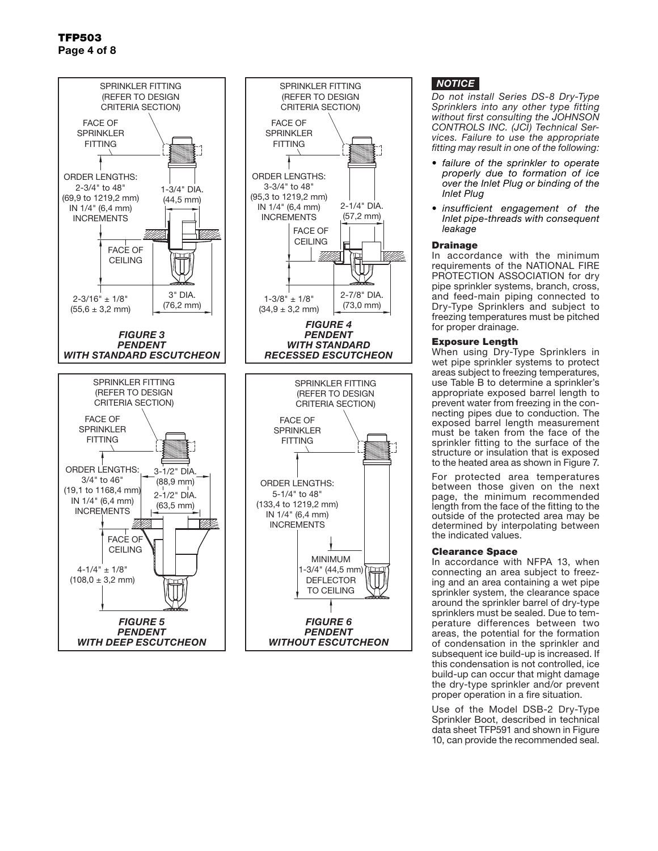

### *NOTICE*

*Do not install Series DS-8 Dry-Type Sprinklers into any other type fitting without first consulting the JOHNSON CONTROLS INC. (JCI) Technical Services. Failure to use the appropriate fitting may result in one of the following:*

- *• failure of the sprinkler to operate properly due to formation of ice over the Inlet Plug or binding of the Inlet Plug*
- *• insufficient engagement of the Inlet pipe-threads with consequent leakage*

#### **Drainage**

VM-

In accordance with the minimum requirements of the NATIONAL FIRE PROTECTION ASSOCIATION for dry pipe sprinkler systems, branch, cross, and feed-main piping connected to Dry-Type Sprinklers and subject to freezing temperatures must be pitched for proper drainage.

#### Exposure Length

When using Dry-Type Sprinklers in wet pipe sprinkler systems to protect areas subject to freezing temperatures, use Table B to determine a sprinkler's appropriate exposed barrel length to prevent water from freezing in the connecting pipes due to conduction. The exposed barrel length measurement must be taken from the face of the sprinkler fitting to the surface of the structure or insulation that is exposed to the heated area as shown in Figure 7.

For protected area temperatures between those given on the next page, the minimum recommended length from the face of the fitting to the outside of the protected area may be determined by interpolating between the indicated values.

#### Clearance Space

In accordance with NFPA 13, when connecting an area subject to freezing and an area containing a wet pipe sprinkler system, the clearance space around the sprinkler barrel of dry-type sprinklers must be sealed. Due to temperature differences between two areas, the potential for the formation of condensation in the sprinkler and subsequent ice build-up is increased. If this condensation is not controlled, ice build-up can occur that might damage the dry-type sprinkler and/or prevent proper operation in a fire situation.

Use of the Model DSB-2 Dry-Type Sprinkler Boot, described in technical data sheet TFP591 and shown in Figure 10, can provide the recommended seal.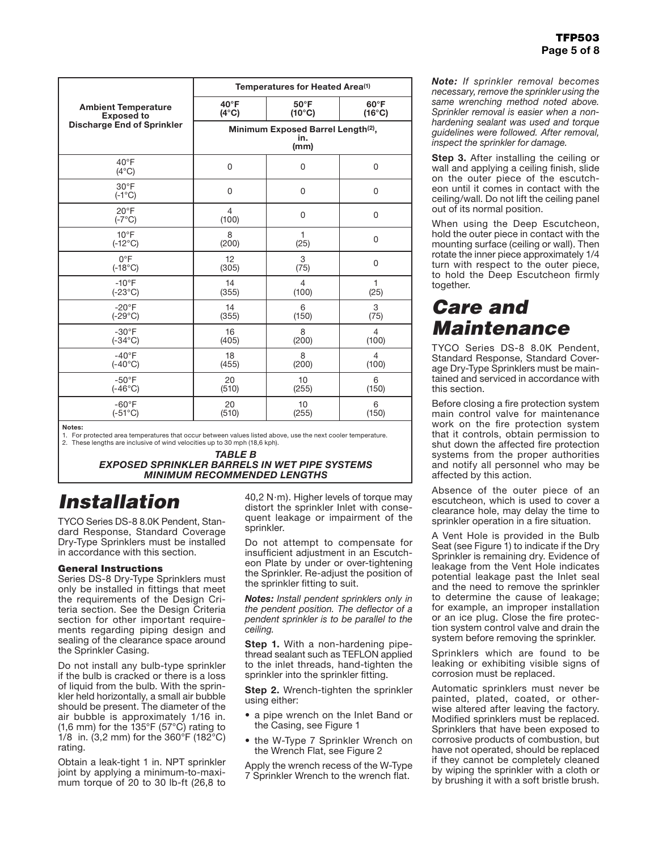|                                   | Temperatures for Heated Area <sup>(1)</sup>                   |                 |                 |  |
|-----------------------------------|---------------------------------------------------------------|-----------------|-----------------|--|
| <b>Ambient Temperature</b>        | $40^{\circ}$ F                                                | $50^{\circ}$ F  | $60^{\circ}$ F  |  |
| <b>Exposed to</b>                 | $(4^{\circ}C)$                                                | $(10^{\circ}C)$ | $(16^{\circ}C)$ |  |
| <b>Discharge End of Sprinkler</b> | Minimum Exposed Barrel Length <sup>(2)</sup> ,<br>in.<br>(mm) |                 |                 |  |
| $40^{\circ}$ F<br>$(4^{\circ}C)$  | 0                                                             | $\Omega$        | $\mathbf 0$     |  |
| $30^{\circ}$ F<br>$(-1^{\circ}C)$ | $\mathbf 0$                                                   | $\Omega$        | $\Omega$        |  |
| $20^{\circ}$ F<br>$(-7^{\circ}C)$ | $\overline{4}$<br>(100)                                       | 0               | 0               |  |
| $10^{\circ}$ F                    | 8                                                             | 1               | $\mathbf 0$     |  |
| $(-12^{\circ}C)$                  | (200)                                                         | (25)            |                 |  |
| $0^{\circ}F$                      | 12                                                            | 3               | $\mathbf 0$     |  |
| $(-18^{\circ}C)$                  | (305)                                                         | (75)            |                 |  |
| $-10^{\circ}$ F                   | 14                                                            | $\overline{4}$  | $\mathbf{1}$    |  |
| $(-23^{\circ}C)$                  | (355)                                                         | (100)           | (25)            |  |
| $-20^{\circ}$ F                   | 14                                                            | 6               | 3               |  |
| $(-29^{\circ}C)$                  | (355)                                                         | (150)           | (75)            |  |
| $-30^\circ F$                     | 16                                                            | 8               | $\overline{4}$  |  |
| $(-34^{\circ}C)$                  | (405)                                                         | (200)           | (100)           |  |
| $-40^{\circ}F$                    | 18                                                            | 8               | $\overline{4}$  |  |
| $(-40^{\circ}C)$                  | (455)                                                         | (200)           | (100)           |  |
| $-50^{\circ}$ F                   | 20                                                            | 10              | 6               |  |
| $(-46^{\circ}C)$                  | (510)                                                         | (255)           | (150)           |  |
| $-60^{\circ}$ F                   | 20                                                            | 10              | 6               |  |
| $(-51^{\circ}C)$                  | (510)                                                         | (255)           | (150)           |  |

Notes:

1. For protected area temperatures that occur between values listed above, use the next cooler temperature. These lengths are inclusive of wind velocities up to 30 mph (18,6 kph).

> *TABLE B EXPOSED SPRINKLER BARRELS IN WET PIPE SYSTEMS MINIMUM RECOMMENDED LENGTHS*

## *Installation*

TYCO Series DS-8 8.0K Pendent, Standard Response, Standard Coverage Dry-Type Sprinklers must be installed in accordance with this section.

#### General Instructions

Series DS-8 Dry-Type Sprinklers must only be installed in fittings that meet the requirements of the Design Criteria section. See the Design Criteria section for other important requirements regarding piping design and sealing of the clearance space around the Sprinkler Casing.

Do not install any bulb-type sprinkler if the bulb is cracked or there is a loss of liquid from the bulb. With the sprinkler held horizontally, a small air bubble should be present. The diameter of the air bubble is approximately 1/16 in. (1,6 mm) for the 135°F (57°C) rating to 1/8 in. (3,2 mm) for the 360°F (182°C) rating.

Obtain a leak-tight 1 in. NPT sprinkler joint by applying a minimum-to-maximum torque of 20 to 30 lb-ft (26,8 to 40,2 N·m). Higher levels of torque may distort the sprinkler Inlet with consequent leakage or impairment of the sprinkler.

Do not attempt to compensate for insufficient adjustment in an Escutcheon Plate by under or over-tightening the Sprinkler. Re-adjust the position of the sprinkler fitting to suit.

*Notes: Install pendent sprinklers only in the pendent position. The deflector of a pendent sprinkler is to be parallel to the ceiling.*

**Step 1.** With a non-hardening pipethread sealant such as TEFLON applied to the inlet threads, hand-tighten the sprinkler into the sprinkler fitting.

**Step 2.** Wrench-tighten the sprinkler using either:

- a pipe wrench on the Inlet Band or the Casing, see Figure 1
- the W-Type 7 Sprinkler Wrench on the Wrench Flat, see Figure 2

Apply the wrench recess of the W-Type 7 Sprinkler Wrench to the wrench flat.

*Note: If sprinkler removal becomes necessary, remove the sprinkler using the same wrenching method noted above. Sprinkler removal is easier when a nonhardening sealant was used and torque guidelines were followed. After removal, inspect the sprinkler for damage.*

**Step 3.** After installing the ceiling or wall and applying a ceiling finish, slide on the outer piece of the escutcheon until it comes in contact with the ceiling/wall. Do not lift the ceiling panel out of its normal position.

When using the Deep Escutcheon, hold the outer piece in contact with the mounting surface (ceiling or wall). Then rotate the inner piece approximately 1/4 turn with respect to the outer piece, to hold the Deep Escutcheon firmly together.

## *Care and Maintenance*

TYCO Series DS-8 8.0K Pendent, Standard Response, Standard Coverage Dry-Type Sprinklers must be maintained and serviced in accordance with this section.

Before closing a fire protection system main control valve for maintenance work on the fire protection system that it controls, obtain permission to shut down the affected fire protection systems from the proper authorities and notify all personnel who may be affected by this action.

Absence of the outer piece of an escutcheon, which is used to cover a clearance hole, may delay the time to sprinkler operation in a fire situation.

A Vent Hole is provided in the Bulb Seat (see Figure 1) to indicate if the Dry Sprinkler is remaining dry. Evidence of leakage from the Vent Hole indicates potential leakage past the Inlet seal and the need to remove the sprinkler to determine the cause of leakage; for example, an improper installation or an ice plug. Close the fire protection system control valve and drain the system before removing the sprinkler.

Sprinklers which are found to be leaking or exhibiting visible signs of corrosion must be replaced.

Automatic sprinklers must never be painted, plated, coated, or otherwise altered after leaving the factory. Modified sprinklers must be replaced. Sprinklers that have been exposed to corrosive products of combustion, but have not operated, should be replaced if they cannot be completely cleaned by wiping the sprinkler with a cloth or by brushing it with a soft bristle brush.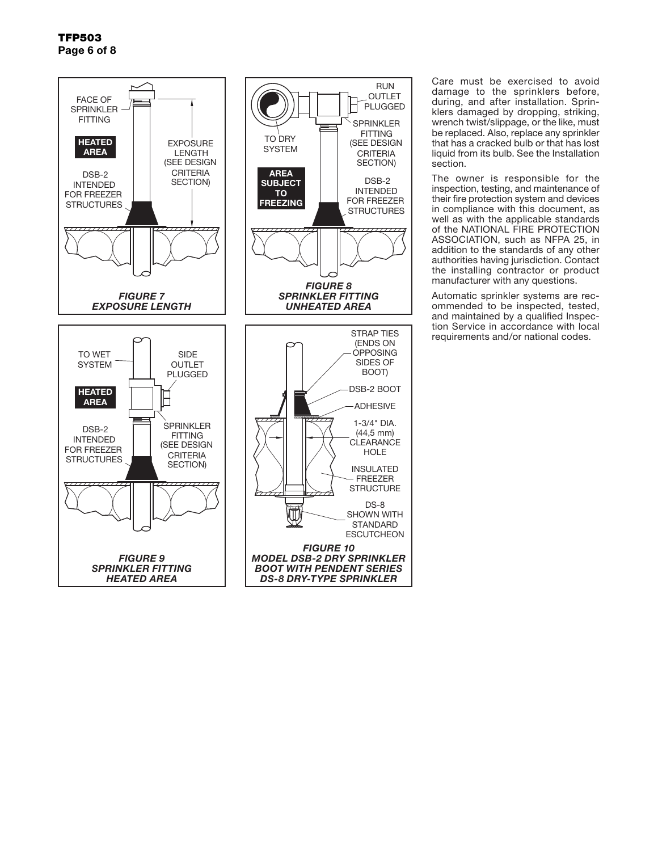

Care must be exercised to avoid damage to the sprinklers before, during, and after installation. Sprinklers damaged by dropping, striking, wrench twist/slippage, or the like, must be replaced. Also, replace any sprinkler that has a cracked bulb or that has lost liquid from its bulb. See the Installation section.

The owner is responsible for the inspection, testing, and maintenance of their fire protection system and devices in compliance with this document, as well as with the applicable standards of the NATIONAL FIRE PROTECTION ASSOCIATION, such as NFPA 25, in addition to the standards of any other authorities having jurisdiction. Contact the installing contractor or product manufacturer with any questions.

Automatic sprinkler systems are recommended to be inspected, tested, and maintained by a qualified Inspection Service in accordance with local requirements and/or national codes.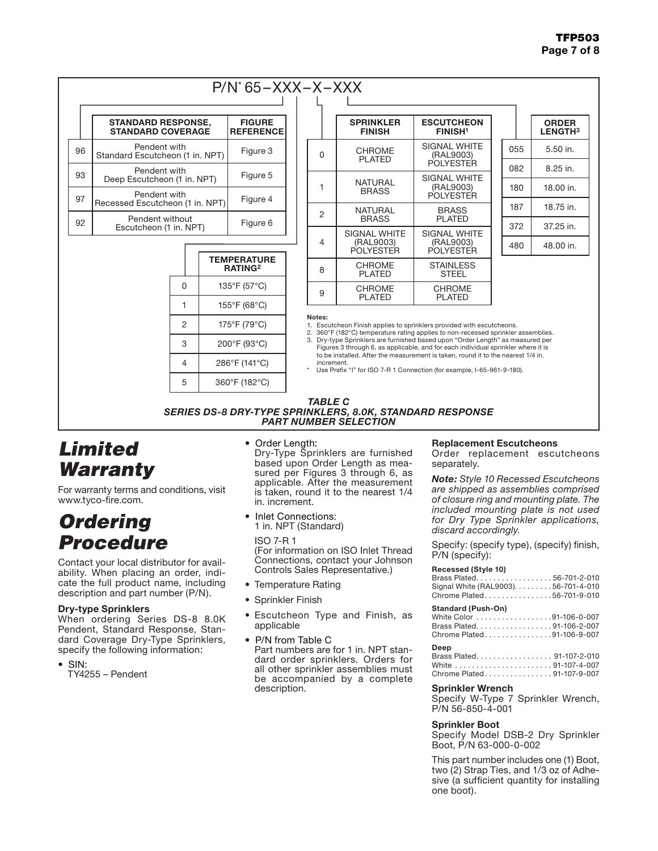### TFP503 Page 7 of 8

### P/N\* 65–XXX–X–XXX

|    | <b>STANDARD RESPONSE,</b><br><b>STANDARD COVERAGE</b> | <b>FIGURE</b><br><b>REFERENCE</b> |
|----|-------------------------------------------------------|-----------------------------------|
| 96 | Pendent with<br>Standard Escutcheon (1 in. NPT)       | Figure 3                          |
| 93 | Pendent with<br>Deep Escutcheon (1 in. NPT)           | Figure 5                          |
| 97 | Pendent with<br>Recessed Escutcheon (1 in. NPT)       | Figure 4                          |
| 92 | Pendent without<br>Escutcheon (1 in. NPT)             | Figure 6                          |

|   | <b>TEMPERATURE</b><br><b>RATING2</b> |
|---|--------------------------------------|
| ი | 135°F (57°C)                         |
|   | 155°F (68°C)                         |
| 2 | 175°F (79°C)                         |
| 3 | 200°F (93°C)                         |
| 4 | 286°F (141°C)                        |
| 5 | 360°F (182°C)                        |

|   | $\mathcal{N} = \mathcal{N} \mathcal{N}$ |                                                |     |  |
|---|-----------------------------------------|------------------------------------------------|-----|--|
|   |                                         |                                                |     |  |
|   | <b>SPRINKLER</b><br><b>FINISH</b>       | <b>ESCUTCHEON</b><br><b>FINISH<sup>1</sup></b> |     |  |
| 0 | <b>CHROME</b><br><b>PLATED</b>          | SIGNAL WHITE<br>(RAL9003)                      | 055 |  |
|   |                                         | <b>POLYESTER</b>                               | 082 |  |
| 1 | <b>NATURAL</b><br><b>BRASS</b>          | SIGNAL WHITE<br>(RAL9003)<br><b>POLYESTER</b>  | 180 |  |
|   | NATURAL                                 | <b>BRASS</b>                                   | 187 |  |
| 2 | <b>BRASS</b>                            | <b>PLATED</b>                                  | 372 |  |
|   | <b>SIGNAL WHITE</b>                     | SIGNAL WHITE                                   |     |  |
| 4 | (RAL9003)<br>POLYESTER                  | (RAL9003)<br>POLYESTER                         | 480 |  |
| 8 | <b>CHROME</b><br><b>PLATED</b>          | <b>STAINLESS</b><br><b>STEEL</b>               |     |  |
| 9 | <b>CHROME</b><br><b>PLATED</b>          | <b>CHROME</b><br><b>PLATED</b>                 |     |  |

|     | <b>ORDER</b><br><b>LENGTH3</b> |
|-----|--------------------------------|
| 055 | 5.50 in.                       |
| 082 | 8.25 in.                       |
| 180 | 18.00 in.                      |
| 187 | 18.75 in.                      |
| 372 | 37.25 in.                      |
| 480 | 48.00 in.                      |
|     |                                |

Notes:

1. Escutcheon Finish applies to sprinklers provided with escutcheons.

2. 360°F (182°C) temperature rating applies to non-recessed sprinkler assemblies.<br>3. Dry-type Sprinklers are furnished based upon "Order Length" as measured per Dry-type Sprinklers are furnished based upon "Order Length" as measured per Figures 3 through 6, as applicable, and for each individual sprinkler where it is to be installed. After the measurement is taken, round it to the nearest 1/4 in.

increment. \* Use Prefix "I" for ISO 7-R 1 Connection (for example, I-65-961-9-180).

#### *TABLE C SERIES DS-8 DRY-TYPE SPRINKLERS, 8.0K, STANDARD RESPONSE PART NUMBER SELECTION*

## *Limited Warranty*

For warranty terms and conditions, visit www.tyco-fire.com.

## *Ordering Procedure*

Contact your local distributor for availability. When placing an order, indicate the full product name, including description and part number (P/N).

### Dry-type Sprinklers

When ordering Series DS-8 8.0K Pendent, Standard Response, Standard Coverage Dry-Type Sprinklers, specify the following information:

- SIN:
	- TY4255 Pendent

• Order Length:

Dry-Type Sprinklers are furnished based upon Order Length as measured per Figures 3 through 6, as applicable. After the measurement is taken, round it to the nearest 1/4 in. increment.

• Inlet Connections: 1 in. NPT (Standard)

ISO 7-R 1 (For information on ISO Inlet Thread Connections, contact your Johnson Controls Sales Representative.)

- Temperature Rating
- Sprinkler Finish
- Escutcheon Type and Finish, as applicable
- P/N from Table C<br>Part numbers are for 1 in. NPT standard order sprinklers. Orders for all other sprinkler assemblies must be accompanied by a complete description.

#### Replacement Escutcheons

Order replacement escutcheons separately.

*Note: Style 10 Recessed Escutcheons are shipped as assemblies comprised of closure ring and mounting plate. The included mounting plate is not used for Dry Type Sprinkler applications, discard accordingly.*

Specify: (specify type), (specify) finish, P/N (specify):

#### **Recessed (Style 10)**

| Brass Plated56-701-2-010             |  |
|--------------------------------------|--|
| Signal White (RAL9003). 56-701-4-010 |  |
| Chrome Plated56-701-9-010            |  |

#### **Standard (Push-On)**

| White Color 91-106-0-007  |  |
|---------------------------|--|
| Brass Plated91-106-2-007  |  |
| Chrome Plated91-106-9-007 |  |

#### **Deep**

| Brass Plated 91-107-2-010 |  |
|---------------------------|--|
|                           |  |
| Chrome Plated91-107-9-007 |  |

#### Sprinkler Wrench

Specify W-Type 7 Sprinkler Wrench, P/N 56-850-4-001

#### Sprinkler Boot

Specify Model DSB-2 Dry Sprinkler Boot, P/N 63-000-0-002

This part number includes one (1) Boot, two (2) Strap Ties, and 1/3 oz of Adhesive (a sufficient quantity for installing one boot).